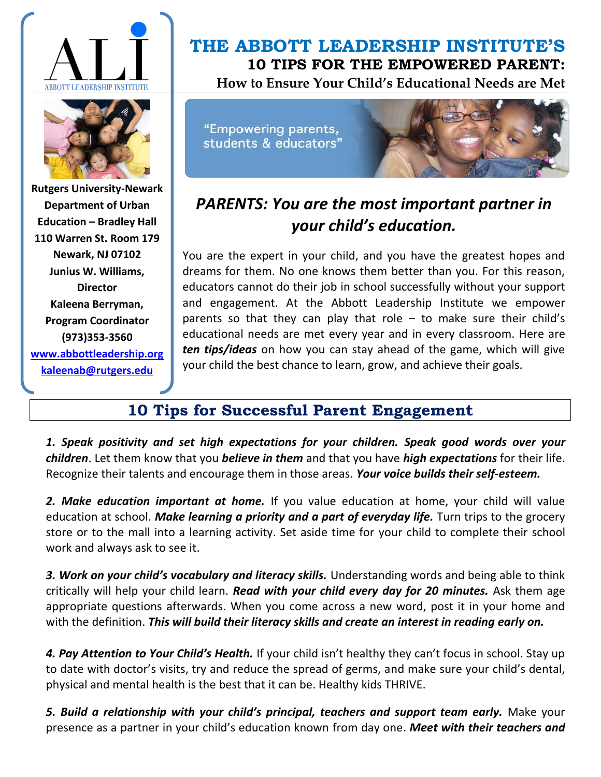



**Rutgers University-Newark Department of Urban Education – Bradley Hall 110 Warren St. Room 179 Newark, NJ 07102 Junius W. Williams, Director Kaleena Berryman, Program Coordinator (973)353-3560 [www.abbottleadership.org](http://www.abbottleadership.org/) [kaleenab@rutgers.edu](mailto:kaleenab@rutgers.edu)**

## **THE ABBOTT LEADERSHIP INSTITUTE'S 10 TIPS FOR THE EMPOWERED PARENT: How to Ensure Your Child's Educational Needs are Met**

"Empowering parents, students & educators"



## *PARENTS: You are the most important partner in your child's education.*

You are the expert in your child, and you have the greatest hopes and dreams for them. No one knows them better than you. For this reason, educators cannot do their job in school successfully without your support and engagement. At the Abbott Leadership Institute we empower parents so that they can play that role  $-$  to make sure their child's educational needs are met every year and in every classroom. Here are *ten tips/ideas* on how you can stay ahead of the game, which will give your child the best chance to learn, grow, and achieve their goals.

## **10 Tips for Successful Parent Engagement**

*1. Speak positivity and set high expectations for your children. Speak good words over your children*. Let them know that you *believe in them* and that you have *high expectations* for their life. Recognize their talents and encourage them in those areas. *Your voice builds their self-esteem.*

2. Make education important at home. If you value education at home, your child will value education at school. *Make learning a priority and a part of everyday life.* Turn trips to the grocery store or to the mall into a learning activity. Set aside time for your child to complete their school work and always ask to see it.

3. Work on your child's vocabulary and literacy skills. Understanding words and being able to think critically will help your child learn. *Read with your child every day for 20 minutes.* Ask them age appropriate questions afterwards. When you come across a new word, post it in your home and with the definition. *This will build their literacy skills and create an interest in reading early on.* 

*4. Pay Attention to Your Child's Health.* If your child isn't healthy they can't focus in school. Stay up to date with doctor's visits, try and reduce the spread of germs, and make sure your child's dental, physical and mental health is the best that it can be. Healthy kids THRIVE.

*5. Build a relationship with your child's principal, teachers and support team early.* Make your presence as a partner in your child's education known from day one. *Meet with their teachers and*